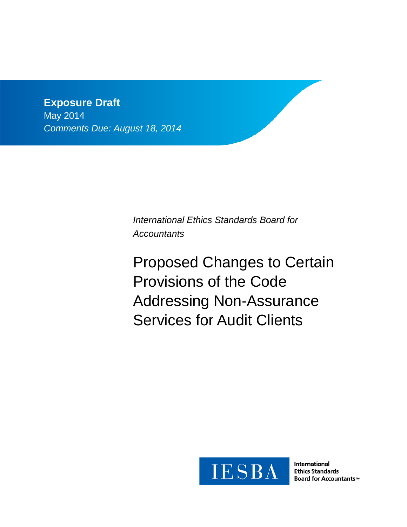**Exposure Draft** May 2014 *Comments Due: August 18, 2014*

> *International Ethics Standards Board for Accountants*

Proposed Changes to Certain Provisions of the Code Addressing Non-Assurance Services for Audit Clients



International **Ethics Standards Board for Accountants**™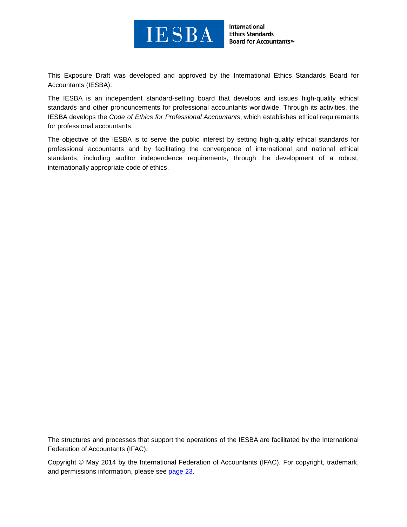

**International Ethics Standards Board for Accountants™** 

This Exposure Draft was developed and approved by the [International Ethics Standards Board for](http://www.ifac.org/ethics)  [Accountants](http://www.ifac.org/ethics) (IESBA).

The IESBA is an independent standard-setting board that develops and issues high-quality ethical standards and other pronouncements for professional accountants worldwide. Through its activities, the IESBA develops the *Code of Ethics for Professional Accountants*, which establishes ethical requirements for professional accountants.

The objective of the IESBA is to serve the public interest by setting high-quality ethical standards for professional accountants and by facilitating the convergence of international and national ethical standards, including auditor independence requirements, through the development of a robust, internationally appropriate code of ethics.

The structures and processes that support the operations of the IESBA are facilitated by the International Federation of Accountants (IFAC).

Copyright © May 2014 by the International Federation of Accountants (IFAC). For copyright, trademark, and permissions information, please see [page](#page-22-0) 23.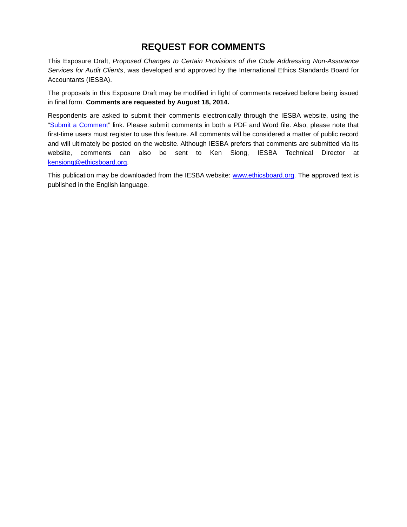# **REQUEST FOR COMMENTS**

This Exposure Draft, *Proposed Changes to Certain Provisions of the Code Addressing Non-Assurance Services for Audit Clients*, was developed and approved by the International Ethics Standards Board for Accountants (IESBA).

The proposals in this Exposure Draft may be modified in light of comments received before being issued in final form. **Comments are requested by August 18, 2014.**

Respondents are asked to submit their comments electronically through the IESBA website, using the ["Submit a Comment"](https://www.ifac.org/publications-resources/proposed-changes-certain-provisions-code-addressing-non-assurance-services-au) link. Please submit comments in both a PDF and Word file. Also, please note that first-time users must register to use this feature. All comments will be considered a matter of public record and will ultimately be posted on the website. Although IESBA prefers that comments are submitted via its website, comments can also be sent to Ken Siong, IESBA Technical Director at [kensiong@ethicsboard.org.](mailto:kensiong@ethicsboard.org)

This publication may be downloaded from the IESBA website: [www.ethicsboard.org.](http://www.ethicsboard.org/) The approved text is published in the English language.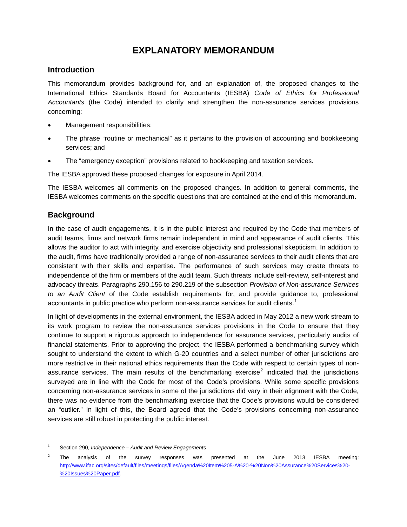# **EXPLANATORY MEMORANDUM**

# **Introduction**

This memorandum provides background for, and an explanation of, the proposed changes to the International Ethics Standards Board for Accountants (IESBA) *Code of Ethics for Professional Accountants* (the Code) intended to clarify and strengthen the non-assurance services provisions concerning:

- Management responsibilities;
- The phrase "routine or mechanical" as it pertains to the provision of accounting and bookkeeping services; and
- The "emergency exception" provisions related to bookkeeping and taxation services.

The IESBA approved these proposed changes for exposure in April 2014.

The IESBA welcomes all comments on the proposed changes. In addition to general comments, the IESBA welcomes comments on the specific questions that are contained at the end of this memorandum.

# **Background**

 $\overline{\phantom{a}}$ 

In the case of audit engagements, it is in the public interest and required by the Code that members of audit teams, firms and network firms remain independent in mind and appearance of audit clients. This allows the auditor to act with integrity, and exercise objectivity and professional skepticism. In addition to the audit, firms have traditionally provided a range of non-assurance services to their audit clients that are consistent with their skills and expertise. The performance of such services may create threats to independence of the firm or members of the audit team. Such threats include self-review, self-interest and advocacy threats. Paragraphs 290.156 to 290.219 of the subsection *Provision of Non-assurance Services to an Audit Client* of the Code establish requirements for, and provide guidance to, professional accountants in public practice who perform non-assurance services for audit clients.<sup>[1](#page-3-0)</sup>

In light of developments in the external environment, the IESBA added in May 2012 a new work stream to its work program to review the non-assurance services provisions in the Code to ensure that they continue to support a rigorous approach to independence for assurance services, particularly audits of financial statements. Prior to approving the project, the IESBA performed a benchmarking survey which sought to understand the extent to which G-20 countries and a select number of other jurisdictions are more restrictive in their national ethics requirements than the Code with respect to certain types of non-assurance services. The main results of the benchmarking exercise<sup>[2](#page-3-1)</sup> indicated that the jurisdictions surveyed are in line with the Code for most of the Code's provisions. While some specific provisions concerning non-assurance services in some of the jurisdictions did vary in their alignment with the Code, there was no evidence from the benchmarking exercise that the Code's provisions would be considered an "outlier." In light of this, the Board agreed that the Code's provisions concerning non-assurance services are still robust in protecting the public interest.

<span id="page-3-0"></span><sup>1</sup> Section 290, *Independence – Audit and Review Engagements*

<span id="page-3-1"></span> $2^2$  The analysis of the survey responses was presented at the June 2013 IESBA meeting: [http://www.ifac.org/sites/default/files/meetings/files/Agenda%20Item%205-A%20-%20Non%20Assurance%20Services%20-](http://www.ifac.org/sites/default/files/meetings/files/Agenda%20Item%205-A%20-%20Non%20Assurance%20Services%20-%20Issues%20Paper.pdf) [%20Issues%20Paper.pdf.](http://www.ifac.org/sites/default/files/meetings/files/Agenda%20Item%205-A%20-%20Non%20Assurance%20Services%20-%20Issues%20Paper.pdf)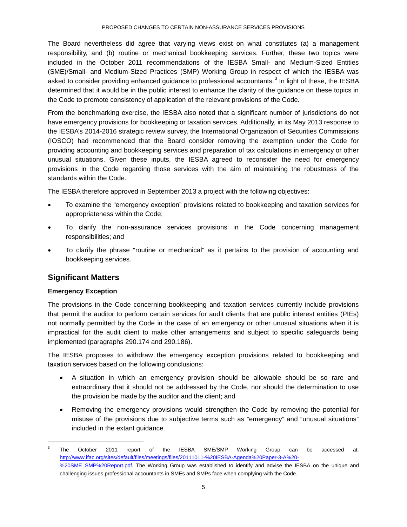The Board nevertheless did agree that varying views exist on what constitutes (a) a management responsibility, and (b) routine or mechanical bookkeeping services. Further, these two topics were included in the October 2011 recommendations of the IESBA Small- and Medium-Sized Entities (SME)/Small- and Medium-Sized Practices (SMP) Working Group in respect of which the IESBA was asked to consider providing enhanced guidance to professional accountants.<sup>[3](#page-4-0)</sup> In light of these, the IESBA determined that it would be in the public interest to enhance the clarity of the guidance on these topics in the Code to promote consistency of application of the relevant provisions of the Code.

From the benchmarking exercise, the IESBA also noted that a significant number of jurisdictions do not have emergency provisions for bookkeeping or taxation services. Additionally, in its May 2013 response to the IESBA's 2014-2016 strategic review survey, the International Organization of Securities Commissions (IOSCO) had recommended that the Board consider removing the exemption under the Code for providing accounting and bookkeeping services and preparation of tax calculations in emergency or other unusual situations. Given these inputs, the IESBA agreed to reconsider the need for emergency provisions in the Code regarding those services with the aim of maintaining the robustness of the standards within the Code.

The IESBA therefore approved in September 2013 a project with the following objectives:

- To examine the "emergency exception" provisions related to bookkeeping and taxation services for appropriateness within the Code;
- To clarify the non-assurance services provisions in the Code concerning management responsibilities; and
- To clarify the phrase "routine or mechanical" as it pertains to the provision of accounting and bookkeeping services.

# **Significant Matters**

#### **Emergency Exception**

 $\overline{\phantom{a}}$ 

The provisions in the Code concerning bookkeeping and taxation services currently include provisions that permit the auditor to perform certain services for audit clients that are public interest entities (PIEs) not normally permitted by the Code in the case of an emergency or other unusual situations when it is impractical for the audit client to make other arrangements and subject to specific safeguards being implemented (paragraphs 290.174 and 290.186).

The IESBA proposes to withdraw the emergency exception provisions related to bookkeeping and taxation services based on the following conclusions:

- A situation in which an emergency provision should be allowable should be so rare and extraordinary that it should not be addressed by the Code, nor should the determination to use the provision be made by the auditor and the client; and
- Removing the emergency provisions would strengthen the Code by removing the potential for misuse of the provisions due to subjective terms such as "emergency" and "unusual situations" included in the extant guidance.

<span id="page-4-0"></span> $3$  The October 2011 report of the IESBA SME/SMP Working Group can be accessed at: [http://www.ifac.org/sites/default/files/meetings/files/20111011-%20IESBA-Agenda%20Paper-3-A%20-](http://www.ifac.org/sites/default/files/meetings/files/20111011-%20IESBA-Agenda%20Paper-3-A%20-%20SME_SMP%20Report.pdf) [%20SME\\_SMP%20Report.pdf.](http://www.ifac.org/sites/default/files/meetings/files/20111011-%20IESBA-Agenda%20Paper-3-A%20-%20SME_SMP%20Report.pdf) The Working Group was established to identify and advise the IESBA on the unique and challenging issues professional accountants in SMEs and SMPs face when complying with the Code.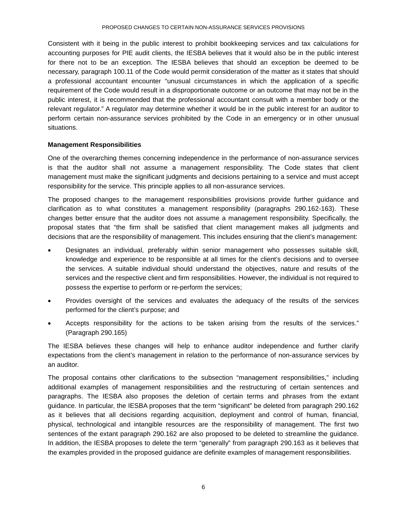Consistent with it being in the public interest to prohibit bookkeeping services and tax calculations for accounting purposes for PIE audit clients, the IESBA believes that it would also be in the public interest for there not to be an exception. The IESBA believes that should an exception be deemed to be necessary, paragraph 100.11 of the Code would permit consideration of the matter as it states that should a professional accountant encounter "unusual circumstances in which the application of a specific requirement of the Code would result in a disproportionate outcome or an outcome that may not be in the public interest, it is recommended that the professional accountant consult with a member body or the relevant regulator." A regulator may determine whether it would be in the public interest for an auditor to perform certain non-assurance services prohibited by the Code in an emergency or in other unusual situations.

## **Management Responsibilities**

One of the overarching themes concerning independence in the performance of non-assurance services is that the auditor shall not assume a management responsibility. The Code states that client management must make the significant judgments and decisions pertaining to a service and must accept responsibility for the service. This principle applies to all non-assurance services.

The proposed changes to the management responsibilities provisions provide further guidance and clarification as to what constitutes a management responsibility (paragraphs 290.162-163). These changes better ensure that the auditor does not assume a management responsibility. Specifically, the proposal states that "the firm shall be satisfied that client management makes all judgments and decisions that are the responsibility of management. This includes ensuring that the client's management:

- Designates an individual, preferably within senior management who possesses suitable skill, knowledge and experience to be responsible at all times for the client's decisions and to oversee the services. A suitable individual should understand the objectives, nature and results of the services and the respective client and firm responsibilities. However, the individual is not required to possess the expertise to perform or re-perform the services;
- Provides oversight of the services and evaluates the adequacy of the results of the services performed for the client's purpose; and
- Accepts responsibility for the actions to be taken arising from the results of the services." (Paragraph 290.165)

The IESBA believes these changes will help to enhance auditor independence and further clarify expectations from the client's management in relation to the performance of non-assurance services by an auditor.

The proposal contains other clarifications to the subsection "management responsibilities," including additional examples of management responsibilities and the restructuring of certain sentences and paragraphs. The IESBA also proposes the deletion of certain terms and phrases from the extant guidance. In particular, the IESBA proposes that the term "significant" be deleted from paragraph 290.162 as it believes that all decisions regarding acquisition, deployment and control of human, financial, physical, technological and intangible resources are the responsibility of management. The first two sentences of the extant paragraph 290.162 are also proposed to be deleted to streamline the guidance. In addition, the IESBA proposes to delete the term "generally" from paragraph 290.163 as it believes that the examples provided in the proposed guidance are definite examples of management responsibilities.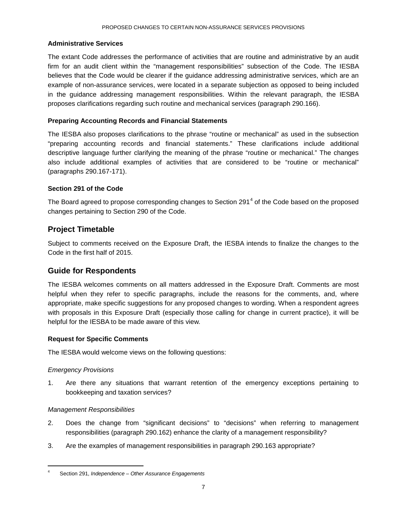### **Administrative Services**

The extant Code addresses the performance of activities that are routine and administrative by an audit firm for an audit client within the "management responsibilities" subsection of the Code. The IESBA believes that the Code would be clearer if the guidance addressing administrative services, which are an example of non-assurance services, were located in a separate subjection as opposed to being included in the guidance addressing management responsibilities. Within the relevant paragraph, the IESBA proposes clarifications regarding such routine and mechanical services (paragraph 290.166).

## **Preparing Accounting Records and Financial Statements**

The IESBA also proposes clarifications to the phrase "routine or mechanical" as used in the subsection "preparing accounting records and financial statements." These clarifications include additional descriptive language further clarifying the meaning of the phrase "routine or mechanical." The changes also include additional examples of activities that are considered to be "routine or mechanical" (paragraphs 290.167-171).

# **Section 291 of the Code**

The Board agreed to propose corresponding changes to Section 291<sup>[4](#page-6-0)</sup> of the Code based on the proposed changes pertaining to Section 290 of the Code.

# **Project Timetable**

Subject to comments received on the Exposure Draft, the IESBA intends to finalize the changes to the Code in the first half of 2015.

# **Guide for Respondents**

The IESBA welcomes comments on all matters addressed in the Exposure Draft. Comments are most helpful when they refer to specific paragraphs, include the reasons for the comments, and, where appropriate, make specific suggestions for any proposed changes to wording. When a respondent agrees with proposals in this Exposure Draft (especially those calling for change in current practice), it will be helpful for the IESBA to be made aware of this view.

#### **Request for Specific Comments**

The IESBA would welcome views on the following questions:

#### *Emergency Provisions*

 $\overline{\phantom{a}}$ 

1. Are there any situations that warrant retention of the emergency exceptions pertaining to bookkeeping and taxation services?

- 2. Does the change from "significant decisions" to "decisions" when referring to management responsibilities (paragraph 290.162) enhance the clarity of a management responsibility?
- 3. Are the examples of management responsibilities in paragraph 290.163 appropriate?

<span id="page-6-0"></span><sup>4</sup> Section 291, *Independence – Other Assurance Engagements*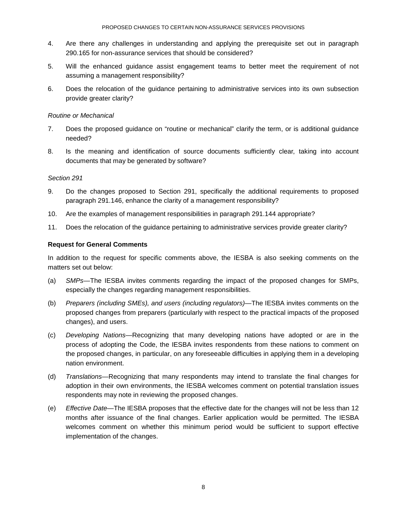- 4. Are there any challenges in understanding and applying the prerequisite set out in paragraph 290.165 for non-assurance services that should be considered?
- 5. Will the enhanced guidance assist engagement teams to better meet the requirement of not assuming a management responsibility?
- 6. Does the relocation of the guidance pertaining to administrative services into its own subsection provide greater clarity?

### *Routine or Mechanical*

- 7. Does the proposed guidance on "routine or mechanical" clarify the term, or is additional guidance needed?
- 8. Is the meaning and identification of source documents sufficiently clear, taking into account documents that may be generated by software?

#### *Section 291*

- 9. Do the changes proposed to Section 291, specifically the additional requirements to proposed paragraph 291.146, enhance the clarity of a management responsibility?
- 10. Are the examples of management responsibilities in paragraph 291.144 appropriate?
- 11. Does the relocation of the guidance pertaining to administrative services provide greater clarity?

## **Request for General Comments**

In addition to the request for specific comments above, the IESBA is also seeking comments on the matters set out below:

- (a) *SMPs*—The IESBA invites comments regarding the impact of the proposed changes for SMPs, especially the changes regarding management responsibilities.
- (b) *Preparers (including SMEs), and users (including regulators)*—The IESBA invites comments on the proposed changes from preparers (particularly with respect to the practical impacts of the proposed changes), and users.
- (c) *Developing Nations*—Recognizing that many developing nations have adopted or are in the process of adopting the Code, the IESBA invites respondents from these nations to comment on the proposed changes, in particular, on any foreseeable difficulties in applying them in a developing nation environment.
- (d) *Translations*—Recognizing that many respondents may intend to translate the final changes for adoption in their own environments, the IESBA welcomes comment on potential translation issues respondents may note in reviewing the proposed changes.
- (e) *Effective Date*—The IESBA proposes that the effective date for the changes will not be less than 12 months after issuance of the final changes. Earlier application would be permitted. The IESBA welcomes comment on whether this minimum period would be sufficient to support effective implementation of the changes.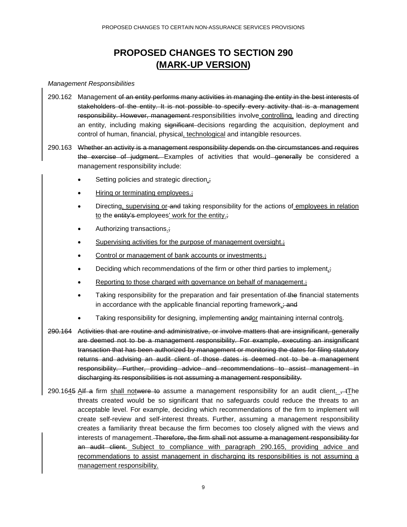# **PROPOSED CHANGES TO SECTION 290 (MARK-UP VERSION)**

- 290.162 Management of an entity performs many activities in managing the entity in the best interests of stakeholders of the entity. It is not possible to specify every activity that is a management responsibility. However, management responsibilities involve controlling, leading and directing an entity, including making significant decisions regarding the acquisition, deployment and control of human, financial, physical, technological and intangible resources.
- 290.163 Whether an activity is a management responsibility depends on the circumstances and requires the exercise of judgment. Examples of activities that would generally be considered a management responsibility include:
	- Setting policies and strategic direction.;
	- Hiring or terminating employees.;
	- Directing, supervising or and taking responsibility for the actions of employees in relation to the entity's employees' work for the entity.;
	- Authorizing transactions.;
	- Supervising activities for the purpose of management oversight.;
	- Control or management of bank accounts or investments.;
	- Deciding which recommendations of the firm or other third parties to implement. $\frac{1}{2}$
	- Reporting to those charged with governance on behalf of management.;
	- Taking responsibility for the preparation and fair presentation of the financial statements in accordance with the applicable financial reporting framework.; and
	- Taking responsibility for designing, implementing andor maintaining internal controls.
- 290.164 Activities that are routine and administrative, or involve matters that are insignificant, generally are deemed not to be a management responsibility. For example, executing an insignificant transaction that has been authorized by management or monitoring the dates for filing statutory returns and advising an audit client of those dates is deemed not to be a management responsibility. Further, providing advice and recommendations to assist management in discharging its responsibilities is not assuming a management responsibility.
- 290.1645 Alf a firm shall notwere to assume a management responsibility for an audit client.  $+$ The threats created would be so significant that no safeguards could reduce the threats to an acceptable level. For example, deciding which recommendations of the firm to implement will create self-review and self-interest threats. Further, assuming a management responsibility creates a familiarity threat because the firm becomes too closely aligned with the views and interests of management. Therefore, the firm shall not assume a management responsibility for an audit client. Subject to compliance with paragraph 290.165, providing advice and recommendations to assist management in discharging its responsibilities is not assuming a management responsibility.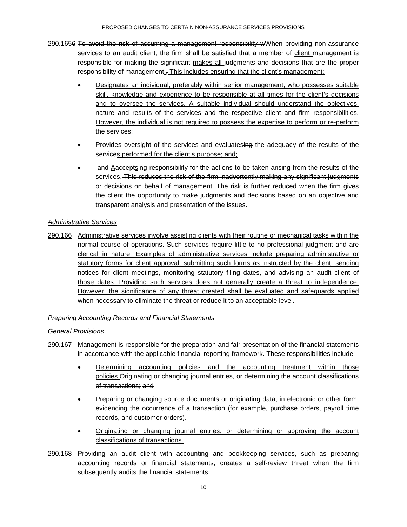- 290.1656 To avoid the risk of assuming a management responsibility wWhen providing non-assurance services to an audit client, the firm shall be satisfied that a member of client management is responsible for making the significant-makes all judgments and decisions that are the proper responsibility of management $_{.5}$ This includes ensuring that the client's management:
	- Designates an individual, preferably within senior management, who possesses suitable skill, knowledge and experience to be responsible at all times for the client's decisions and to oversee the services. A suitable individual should understand the objectives, nature and results of the services and the respective client and firm responsibilities. However, the individual is not required to possess the expertise to perform or re-perform the services;
	- Provides oversight of the services and evaluatesing the adequacy of the results of the services performed for the client's purpose; and;
	- **and Aacceptsing responsibility for the actions to be taken arising from the results of the** services. This reduces the risk of the firm inadvertently making any significant judgments or decisions on behalf of management. The risk is further reduced when the firm gives the client the opportunity to make judgments and decisions based on an objective and transparent analysis and presentation of the issues.

# *Administrative Services*

290.166 Administrative services involve assisting clients with their routine or mechanical tasks within the normal course of operations. Such services require little to no professional judgment and are clerical in nature. Examples of administrative services include preparing administrative or statutory forms for client approval, submitting such forms as instructed by the client, sending notices for client meetings, monitoring statutory filing dates, and advising an audit client of those dates. Providing such services does not generally create a threat to independence. However, the significance of any threat created shall be evaluated and safeguards applied when necessary to eliminate the threat or reduce it to an acceptable level.

# *Preparing Accounting Records and Financial Statements*

# *General Provisions*

- 290.167 Management is responsible for the preparation and fair presentation of the financial statements in accordance with the applicable financial reporting framework. These responsibilities include:
	- Determining accounting policies and the accounting treatment within those policies.Originating or changing journal entries, or determining the account classifications of transactions; and
	- Preparing or changing source documents or originating data, in electronic or other form, evidencing the occurrence of a transaction (for example, purchase orders, payroll time records, and customer orders).
	- Originating or changing journal entries, or determining or approving the account classifications of transactions.
- 290.168 Providing an audit client with accounting and bookkeeping services, such as preparing accounting records or financial statements, creates a self-review threat when the firm subsequently audits the financial statements.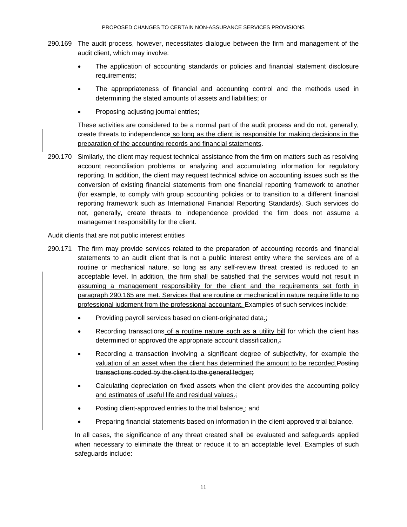- 290.169 The audit process, however, necessitates dialogue between the firm and management of the audit client, which may involve:
	- The application of accounting standards or policies and financial statement disclosure requirements;
	- The appropriateness of financial and accounting control and the methods used in determining the stated amounts of assets and liabilities; or
	- Proposing adjusting journal entries;

These activities are considered to be a normal part of the audit process and do not, generally, create threats to independence so long as the client is responsible for making decisions in the preparation of the accounting records and financial statements.

290.170 Similarly, the client may request technical assistance from the firm on matters such as resolving account reconciliation problems or analyzing and accumulating information for regulatory reporting. In addition, the client may request technical advice on accounting issues such as the conversion of existing financial statements from one financial reporting framework to another (for example, to comply with group accounting policies or to transition to a different financial reporting framework such as International Financial Reporting Standards). Such services do not, generally, create threats to independence provided the firm does not assume a management responsibility for the client.

Audit clients that are not public interest entities

- 290.171 The firm may provide services related to the preparation of accounting records and financial statements to an audit client that is not a public interest entity where the services are of a routine or mechanical nature, so long as any self-review threat created is reduced to an acceptable level. In addition, the firm shall be satisfied that the services would not result in assuming a management responsibility for the client and the requirements set forth in paragraph 290.165 are met. Services that are routine or mechanical in nature require little to no professional judgment from the professional accountant. Examples of such services include:
	- Providing payroll services based on client-originated data.;
	- Recording transactions of a routine nature such as a utility bill for which the client has determined or approved the appropriate account classification.;
	- Recording a transaction involving a significant degree of subjectivity, for example the valuation of an asset when the client has determined the amount to be recorded.Posting transactions coded by the client to the general ledger;
	- Calculating depreciation on fixed assets when the client provides the accounting policy and estimates of useful life and residual values.;
	- Posting client-approved entries to the trial balance<sub>-5</sub> and
	- Preparing financial statements based on information in the client-approved trial balance.

In all cases, the significance of any threat created shall be evaluated and safeguards applied when necessary to eliminate the threat or reduce it to an acceptable level. Examples of such safeguards include: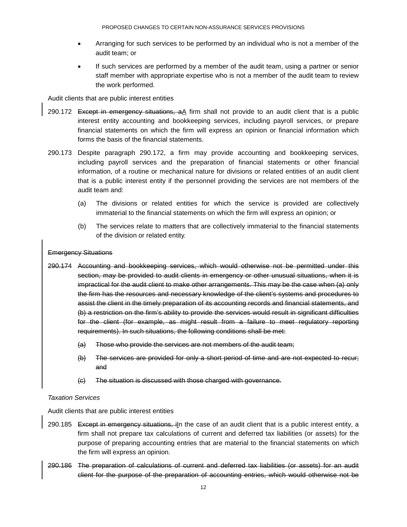- Arranging for such services to be performed by an individual who is not a member of the audit team; or
- If such services are performed by a member of the audit team, using a partner or senior staff member with appropriate expertise who is not a member of the audit team to review the work performed.

Audit clients that are public interest entities

- 290.172 Except in emergency situations,  $aA$  firm shall not provide to an audit client that is a public interest entity accounting and bookkeeping services, including payroll services, or prepare financial statements on which the firm will express an opinion or financial information which forms the basis of the financial statements.
- 290.173 Despite paragraph 290.172, a firm may provide accounting and bookkeeping services, including payroll services and the preparation of financial statements or other financial information, of a routine or mechanical nature for divisions or related entities of an audit client that is a public interest entity if the personnel providing the services are not members of the audit team and:
	- (a) The divisions or related entities for which the service is provided are collectively immaterial to the financial statements on which the firm will express an opinion; or
	- (b) The services relate to matters that are collectively immaterial to the financial statements of the division or related entity.

#### Emergency Situations

- 290.174 Accounting and bookkeeping services, which would otherwise not be permitted under this section, may be provided to audit clients in emergency or other unusual situations, when it is impractical for the audit client to make other arrangements. This may be the case when (a) only the firm has the resources and necessary knowledge of the client's systems and procedures to assist the client in the timely preparation of its accounting records and financial statements, and (b) a restriction on the firm's ability to provide the services would result in significant difficulties for the client (for example, as might result from a failure to meet regulatory reporting requirements). In such situations, the following conditions shall be met:
	- (a) Those who provide the services are not members of the audit team;
	- (b) The services are provided for only a short period of time and are not expected to recur; and
	- (c) The situation is discussed with those charged with governance.

#### *Taxation Services*

Audit clients that are public interest entities

- 290.185 Except in emergency situations, iln the case of an audit client that is a public interest entity, a firm shall not prepare tax calculations of current and deferred tax liabilities (or assets) for the purpose of preparing accounting entries that are material to the financial statements on which the firm will express an opinion.
- 290.186 The preparation of calculations of current and deferred tax liabilities (or assets) for an audit client for the purpose of the preparation of accounting entries, which would otherwise not be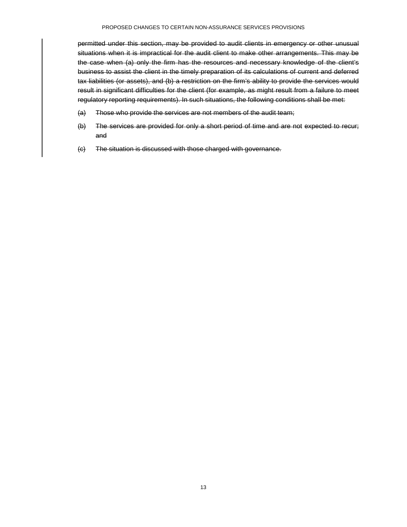#### PROPOSED CHANGES TO CERTAIN NON-ASSURANCE SERVICES PROVISIONS

permitted under this section, may be provided to audit clients in emergency or other unusual situations when it is impractical for the audit client to make other arrangements. This may be the case when (a) only the firm has the resources and necessary knowledge of the client's business to assist the client in the timely preparation of its calculations of current and deferred tax liabilities (or assets), and (b) a restriction on the firm's ability to provide the services would result in significant difficulties for the client (for example, as might result from a failure to meet regulatory reporting requirements). In such situations, the following conditions shall be met:

- (a) Those who provide the services are not members of the audit team;
- (b) The services are provided for only a short period of time and are not expected to recur; and
- (c) The situation is discussed with those charged with governance.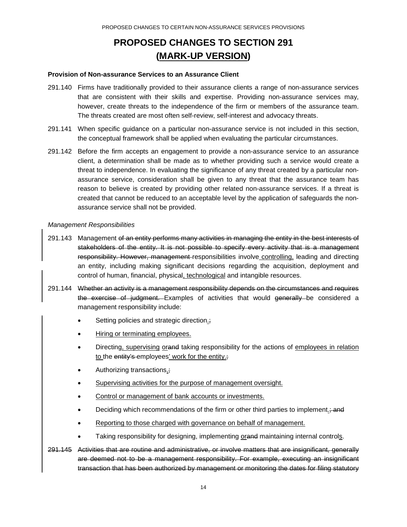# **PROPOSED CHANGES TO SECTION 291 (MARK-UP VERSION)**

#### **Provision of Non-assurance Services to an Assurance Client**

- 291.140 Firms have traditionally provided to their assurance clients a range of non-assurance services that are consistent with their skills and expertise. Providing non-assurance services may, however, create threats to the independence of the firm or members of the assurance team. The threats created are most often self-review, self-interest and advocacy threats.
- 291.141 When specific guidance on a particular non-assurance service is not included in this section, the conceptual framework shall be applied when evaluating the particular circumstances.
- 291.142 Before the firm accepts an engagement to provide a non-assurance service to an assurance client, a determination shall be made as to whether providing such a service would create a threat to independence. In evaluating the significance of any threat created by a particular nonassurance service, consideration shall be given to any threat that the assurance team has reason to believe is created by providing other related non-assurance services. If a threat is created that cannot be reduced to an acceptable level by the application of safeguards the nonassurance service shall not be provided.

- 291.143 Management of an entity performs many activities in managing the entity in the best interests of stakeholders of the entity. It is not possible to specify every activity that is a management responsibility. However, management responsibilities involve controlling, leading and directing an entity, including making significant decisions regarding the acquisition, deployment and control of human, financial, physical, technological and intangible resources.
- 291.144 Whether an activity is a management responsibility depends on the circumstances and requires the exercise of judgment. Examples of activities that would generally be considered a management responsibility include:
	- Setting policies and strategic direction.;
	- Hiring or terminating employees.
	- Directing, supervising orand taking responsibility for the actions of employees in relation to the entity's employees' work for the entity.;
	- Authorizing transactions.;
	- Supervising activities for the purpose of management oversight.
	- Control or management of bank accounts or investments.
	- Deciding which recommendations of the firm or other third parties to implement.; and
	- Reporting to those charged with governance on behalf of management.
	- Taking responsibility for designing, implementing orand maintaining internal controls.
- 291.145 Activities that are routine and administrative, or involve matters that are insignificant, generally are deemed not to be a management responsibility. For example, executing an insignificant transaction that has been authorized by management or monitoring the dates for filing statutory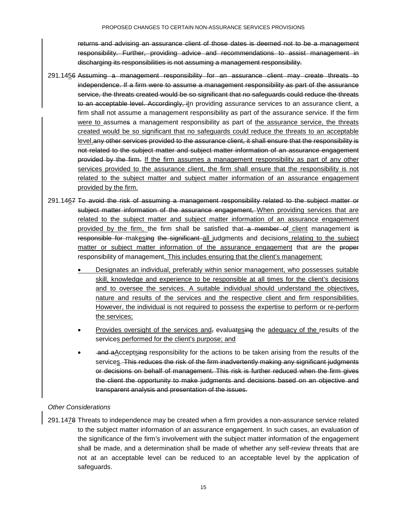returns and advising an assurance client of those dates is deemed not to be a management responsibility. Further, providing advice and recommendations to assist management in discharging its responsibilities is not assuming a management responsibility.

- 291.1456 Assuming a management responsibility for an assurance client may create threats to independence. If a firm were to assume a management responsibility as part of the assurance service, the threats created would be so significant that no safeguards could reduce the threats to an acceptable level. Accordingly, iln providing assurance services to an assurance client, a firm shall not assume a management responsibility as part of the assurance service. If the firm were to assumes a management responsibility as part of the assurance service, the threats created would be so significant that no safeguards could reduce the threats to an acceptable level.any other services provided to the assurance client, it shall ensure that the responsibility is not related to the subject matter and subject matter information of an assurance engagement provided by the firm. If the firm assumes a management responsibility as part of any other services provided to the assurance client, the firm shall ensure that the responsibility is not related to the subject matter and subject matter information of an assurance engagement provided by the firm.
- 291.1467 To avoid the risk of assuming a management responsibility related to the subject matter or subject matter information of the assurance engagement, When providing services that are related to the subject matter and subject matter information of an assurance engagement provided by the firm, the firm shall be satisfied that a member of client management is responsible for makesing the significant all judgments and decisions relating to the subject matter or subject matter information of the assurance engagement that are the proper responsibility of management. This includes ensuring that the client's management:
	- Designates an individual, preferably within senior management, who possesses suitable skill, knowledge and experience to be responsible at all times for the client's decisions and to oversee the services. A suitable individual should understand the objectives, nature and results of the services and the respective client and firm responsibilities. However, the individual is not required to possess the expertise to perform or re-perform the services;
	- Provides oversight of the services and, evaluatesing the adequacy of the results of the services performed for the client's purpose; and
	- **and a** Acceptsing responsibility for the actions to be taken arising from the results of the services. This reduces the risk of the firm inadvertently making any significant judgments or decisions on behalf of management. This risk is further reduced when the firm gives the client the opportunity to make judgments and decisions based on an objective and transparent analysis and presentation of the issues.

#### *Other Considerations*

291.1478 Threats to independence may be created when a firm provides a non-assurance service related to the subject matter information of an assurance engagement. In such cases, an evaluation of the significance of the firm's involvement with the subject matter information of the engagement shall be made, and a determination shall be made of whether any self-review threats that are not at an acceptable level can be reduced to an acceptable level by the application of safeguards.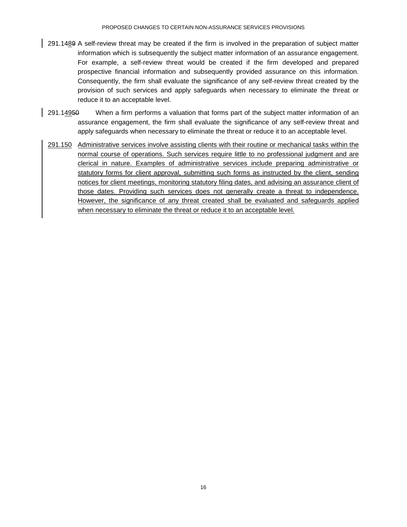- 291.1489 A self-review threat may be created if the firm is involved in the preparation of subject matter information which is subsequently the subject matter information of an assurance engagement. For example, a self-review threat would be created if the firm developed and prepared prospective financial information and subsequently provided assurance on this information. Consequently, the firm shall evaluate the significance of any self-review threat created by the provision of such services and apply safeguards when necessary to eliminate the threat or reduce it to an acceptable level.
- 291.14950 When a firm performs a valuation that forms part of the subject matter information of an assurance engagement, the firm shall evaluate the significance of any self-review threat and apply safeguards when necessary to eliminate the threat or reduce it to an acceptable level.
- 291.150 Administrative services involve assisting clients with their routine or mechanical tasks within the normal course of operations. Such services require little to no professional judgment and are clerical in nature. Examples of administrative services include preparing administrative or statutory forms for client approval, submitting such forms as instructed by the client, sending notices for client meetings, monitoring statutory filing dates, and advising an assurance client of those dates. Providing such services does not generally create a threat to independence. However, the significance of any threat created shall be evaluated and safeguards applied when necessary to eliminate the threat or reduce it to an acceptable level.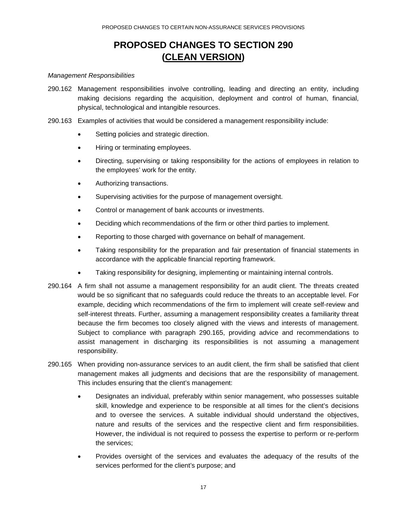# **PROPOSED CHANGES TO SECTION 290 (CLEAN VERSION)**

- 290.162 Management responsibilities involve controlling, leading and directing an entity, including making decisions regarding the acquisition, deployment and control of human, financial, physical, technological and intangible resources.
- 290.163 Examples of activities that would be considered a management responsibility include:
	- Setting policies and strategic direction.
	- Hiring or terminating employees.
	- Directing, supervising or taking responsibility for the actions of employees in relation to the employees' work for the entity.
	- Authorizing transactions.
	- Supervising activities for the purpose of management oversight.
	- Control or management of bank accounts or investments.
	- Deciding which recommendations of the firm or other third parties to implement.
	- Reporting to those charged with governance on behalf of management.
	- Taking responsibility for the preparation and fair presentation of financial statements in accordance with the applicable financial reporting framework.
	- Taking responsibility for designing, implementing or maintaining internal controls.
- 290.164 A firm shall not assume a management responsibility for an audit client. The threats created would be so significant that no safeguards could reduce the threats to an acceptable level. For example, deciding which recommendations of the firm to implement will create self-review and self-interest threats. Further, assuming a management responsibility creates a familiarity threat because the firm becomes too closely aligned with the views and interests of management. Subject to compliance with paragraph 290.165, providing advice and recommendations to assist management in discharging its responsibilities is not assuming a management responsibility.
- 290.165 When providing non-assurance services to an audit client, the firm shall be satisfied that client management makes all judgments and decisions that are the responsibility of management. This includes ensuring that the client's management:
	- Designates an individual, preferably within senior management, who possesses suitable skill, knowledge and experience to be responsible at all times for the client's decisions and to oversee the services. A suitable individual should understand the objectives, nature and results of the services and the respective client and firm responsibilities. However, the individual is not required to possess the expertise to perform or re-perform the services;
	- Provides oversight of the services and evaluates the adequacy of the results of the services performed for the client's purpose; and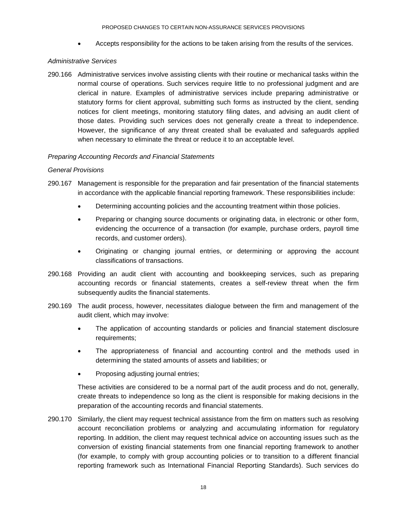#### PROPOSED CHANGES TO CERTAIN NON-ASSURANCE SERVICES PROVISIONS

• Accepts responsibility for the actions to be taken arising from the results of the services.

## *Administrative Services*

290.166 Administrative services involve assisting clients with their routine or mechanical tasks within the normal course of operations. Such services require little to no professional judgment and are clerical in nature. Examples of administrative services include preparing administrative or statutory forms for client approval, submitting such forms as instructed by the client, sending notices for client meetings, monitoring statutory filing dates, and advising an audit client of those dates. Providing such services does not generally create a threat to independence. However, the significance of any threat created shall be evaluated and safeguards applied when necessary to eliminate the threat or reduce it to an acceptable level.

## *Preparing Accounting Records and Financial Statements*

## *General Provisions*

- 290.167 Management is responsible for the preparation and fair presentation of the financial statements in accordance with the applicable financial reporting framework. These responsibilities include:
	- Determining accounting policies and the accounting treatment within those policies.
	- Preparing or changing source documents or originating data, in electronic or other form, evidencing the occurrence of a transaction (for example, purchase orders, payroll time records, and customer orders).
	- Originating or changing journal entries, or determining or approving the account classifications of transactions.
- 290.168 Providing an audit client with accounting and bookkeeping services, such as preparing accounting records or financial statements, creates a self-review threat when the firm subsequently audits the financial statements.
- 290.169 The audit process, however, necessitates dialogue between the firm and management of the audit client, which may involve:
	- The application of accounting standards or policies and financial statement disclosure requirements;
	- The appropriateness of financial and accounting control and the methods used in determining the stated amounts of assets and liabilities; or
	- Proposing adjusting journal entries;

These activities are considered to be a normal part of the audit process and do not, generally, create threats to independence so long as the client is responsible for making decisions in the preparation of the accounting records and financial statements.

290.170 Similarly, the client may request technical assistance from the firm on matters such as resolving account reconciliation problems or analyzing and accumulating information for regulatory reporting. In addition, the client may request technical advice on accounting issues such as the conversion of existing financial statements from one financial reporting framework to another (for example, to comply with group accounting policies or to transition to a different financial reporting framework such as International Financial Reporting Standards). Such services do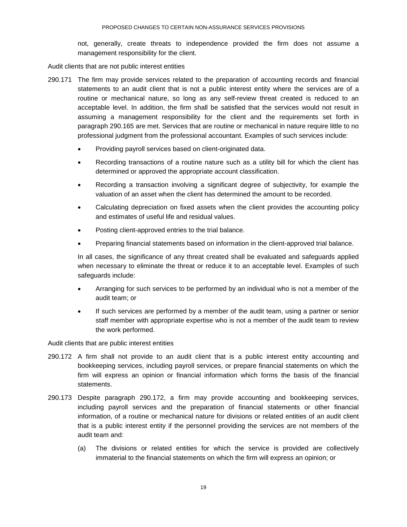not, generally, create threats to independence provided the firm does not assume a management responsibility for the client.

Audit clients that are not public interest entities

- 290.171 The firm may provide services related to the preparation of accounting records and financial statements to an audit client that is not a public interest entity where the services are of a routine or mechanical nature, so long as any self-review threat created is reduced to an acceptable level. In addition, the firm shall be satisfied that the services would not result in assuming a management responsibility for the client and the requirements set forth in paragraph 290.165 are met. Services that are routine or mechanical in nature require little to no professional judgment from the professional accountant. Examples of such services include:
	- Providing payroll services based on client-originated data.
	- Recording transactions of a routine nature such as a utility bill for which the client has determined or approved the appropriate account classification.
	- Recording a transaction involving a significant degree of subjectivity, for example the valuation of an asset when the client has determined the amount to be recorded.
	- Calculating depreciation on fixed assets when the client provides the accounting policy and estimates of useful life and residual values.
	- Posting client-approved entries to the trial balance.
	- Preparing financial statements based on information in the client-approved trial balance.

In all cases, the significance of any threat created shall be evaluated and safeguards applied when necessary to eliminate the threat or reduce it to an acceptable level. Examples of such safeguards include:

- Arranging for such services to be performed by an individual who is not a member of the audit team; or
- If such services are performed by a member of the audit team, using a partner or senior staff member with appropriate expertise who is not a member of the audit team to review the work performed.

Audit clients that are public interest entities

- 290.172 A firm shall not provide to an audit client that is a public interest entity accounting and bookkeeping services, including payroll services, or prepare financial statements on which the firm will express an opinion or financial information which forms the basis of the financial statements.
- 290.173 Despite paragraph 290.172, a firm may provide accounting and bookkeeping services, including payroll services and the preparation of financial statements or other financial information, of a routine or mechanical nature for divisions or related entities of an audit client that is a public interest entity if the personnel providing the services are not members of the audit team and:
	- (a) The divisions or related entities for which the service is provided are collectively immaterial to the financial statements on which the firm will express an opinion; or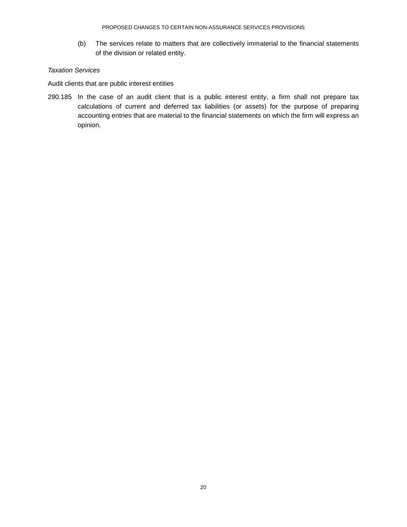#### PROPOSED CHANGES TO CERTAIN NON-ASSURANCE SERVICES PROVISIONS

(b) The services relate to matters that are collectively immaterial to the financial statements of the division or related entity.

### *Taxation Services*

Audit clients that are public interest entities

290.185 In the case of an audit client that is a public interest entity, a firm shall not prepare tax calculations of current and deferred tax liabilities (or assets) for the purpose of preparing accounting entries that are material to the financial statements on which the firm will express an opinion.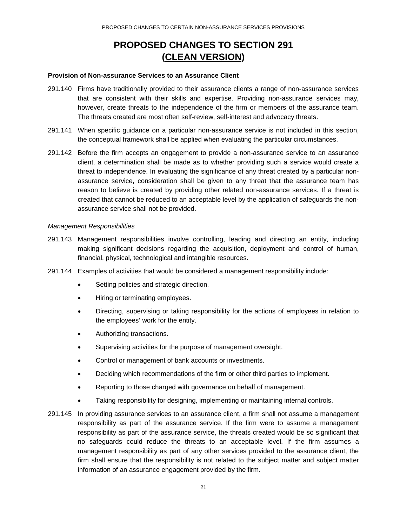# **PROPOSED CHANGES TO SECTION 291 (CLEAN VERSION)**

#### **Provision of Non-assurance Services to an Assurance Client**

- 291.140 Firms have traditionally provided to their assurance clients a range of non-assurance services that are consistent with their skills and expertise. Providing non-assurance services may, however, create threats to the independence of the firm or members of the assurance team. The threats created are most often self-review, self-interest and advocacy threats.
- 291.141 When specific guidance on a particular non-assurance service is not included in this section, the conceptual framework shall be applied when evaluating the particular circumstances.
- 291.142 Before the firm accepts an engagement to provide a non-assurance service to an assurance client, a determination shall be made as to whether providing such a service would create a threat to independence. In evaluating the significance of any threat created by a particular nonassurance service, consideration shall be given to any threat that the assurance team has reason to believe is created by providing other related non-assurance services. If a threat is created that cannot be reduced to an acceptable level by the application of safeguards the nonassurance service shall not be provided.

- 291.143 Management responsibilities involve controlling, leading and directing an entity, including making significant decisions regarding the acquisition, deployment and control of human, financial, physical, technological and intangible resources.
- 291.144 Examples of activities that would be considered a management responsibility include:
	- Setting policies and strategic direction.
	- Hiring or terminating employees.
	- Directing, supervising or taking responsibility for the actions of employees in relation to the employees' work for the entity.
	- Authorizing transactions.
	- Supervising activities for the purpose of management oversight.
	- Control or management of bank accounts or investments.
	- Deciding which recommendations of the firm or other third parties to implement.
	- Reporting to those charged with governance on behalf of management.
	- Taking responsibility for designing, implementing or maintaining internal controls.
- 291.145 In providing assurance services to an assurance client, a firm shall not assume a management responsibility as part of the assurance service. If the firm were to assume a management responsibility as part of the assurance service, the threats created would be so significant that no safeguards could reduce the threats to an acceptable level. If the firm assumes a management responsibility as part of any other services provided to the assurance client, the firm shall ensure that the responsibility is not related to the subject matter and subject matter information of an assurance engagement provided by the firm.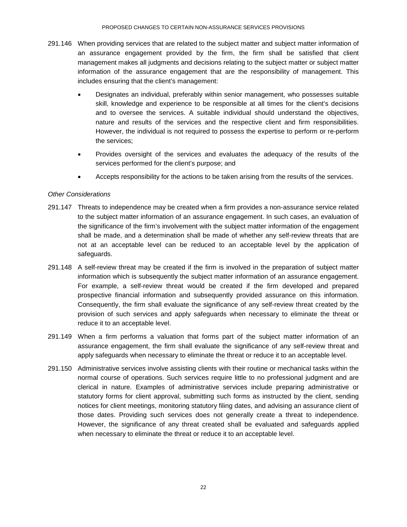- 291.146 When providing services that are related to the subject matter and subject matter information of an assurance engagement provided by the firm, the firm shall be satisfied that client management makes all judgments and decisions relating to the subject matter or subject matter information of the assurance engagement that are the responsibility of management. This includes ensuring that the client's management:
	- Designates an individual, preferably within senior management, who possesses suitable skill, knowledge and experience to be responsible at all times for the client's decisions and to oversee the services. A suitable individual should understand the objectives, nature and results of the services and the respective client and firm responsibilities. However, the individual is not required to possess the expertise to perform or re-perform the services;
	- Provides oversight of the services and evaluates the adequacy of the results of the services performed for the client's purpose; and
	- Accepts responsibility for the actions to be taken arising from the results of the services.

## *Other Considerations*

- 291.147 Threats to independence may be created when a firm provides a non-assurance service related to the subject matter information of an assurance engagement. In such cases, an evaluation of the significance of the firm's involvement with the subject matter information of the engagement shall be made, and a determination shall be made of whether any self-review threats that are not at an acceptable level can be reduced to an acceptable level by the application of safeguards.
- 291.148 A self-review threat may be created if the firm is involved in the preparation of subject matter information which is subsequently the subject matter information of an assurance engagement. For example, a self-review threat would be created if the firm developed and prepared prospective financial information and subsequently provided assurance on this information. Consequently, the firm shall evaluate the significance of any self-review threat created by the provision of such services and apply safeguards when necessary to eliminate the threat or reduce it to an acceptable level.
- 291.149 When a firm performs a valuation that forms part of the subject matter information of an assurance engagement, the firm shall evaluate the significance of any self-review threat and apply safeguards when necessary to eliminate the threat or reduce it to an acceptable level.
- 291.150 Administrative services involve assisting clients with their routine or mechanical tasks within the normal course of operations. Such services require little to no professional judgment and are clerical in nature. Examples of administrative services include preparing administrative or statutory forms for client approval, submitting such forms as instructed by the client, sending notices for client meetings, monitoring statutory filing dates, and advising an assurance client of those dates. Providing such services does not generally create a threat to independence. However, the significance of any threat created shall be evaluated and safeguards applied when necessary to eliminate the threat or reduce it to an acceptable level.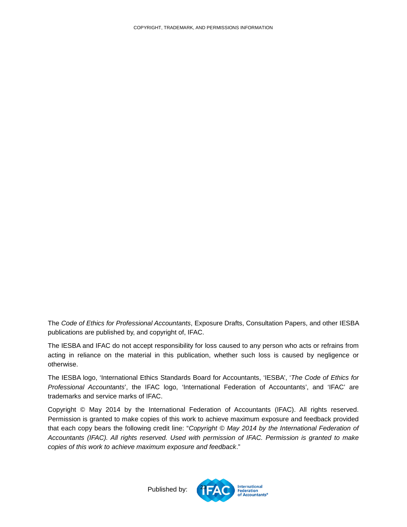<span id="page-22-0"></span>The *Code of Ethics for Professional Accountants*, Exposure Drafts, Consultation Papers, and other IESBA publications are published by, and copyright of, IFAC.

The IESBA and IFAC do not accept responsibility for loss caused to any person who acts or refrains from acting in reliance on the material in this publication, whether such loss is caused by negligence or otherwise.

The IESBA logo, 'International Ethics Standards Board for Accountants, 'IESBA', '*The Code of Ethics for Professional Accountants*', the IFAC logo, 'International Federation of Accountants', and 'IFAC' are trademarks and service marks of IFAC.

Copyright © May 2014 by the International Federation of Accountants (IFAC). All rights reserved. Permission is granted to make copies of this work to achieve maximum exposure and feedback provided that each copy bears the following credit line: "*Copyright © May 2014 by the International Federation of Accountants (IFAC). All rights reserved. Used with permission of IFAC. Permission is granted to make copies of this work to achieve maximum exposure and feedback*."